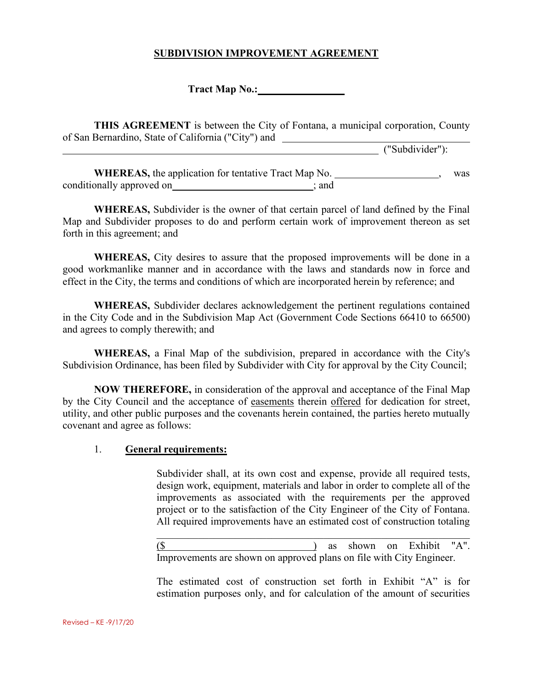# **SUBDIVISION IMPROVEMENT AGREEMENT**

**Tract Map No.:** 

**THIS AGREEMENT** is between the City of Fontana, a municipal corporation, County of San Bernardino, State of California ("City") and

("Subdivider"):

WHEREAS, the application for tentative Tract Map No. \_\_\_\_\_\_\_\_\_\_\_\_\_\_\_\_\_\_\_\_, was conditionally approved on  $\qquad \qquad ;$  and

**WHEREAS,** Subdivider is the owner of that certain parcel of land defined by the Final Map and Subdivider proposes to do and perform certain work of improvement thereon as set forth in this agreement; and

**WHEREAS,** City desires to assure that the proposed improvements will be done in a good workmanlike manner and in accordance with the laws and standards now in force and effect in the City, the terms and conditions of which are incorporated herein by reference; and

**WHEREAS,** Subdivider declares acknowledgement the pertinent regulations contained in the City Code and in the Subdivision Map Act (Government Code Sections 66410 to 66500) and agrees to comply therewith; and

**WHEREAS,** a Final Map of the subdivision, prepared in accordance with the City's Subdivision Ordinance, has been filed by Subdivider with City for approval by the City Council;

**NOW THEREFORE,** in consideration of the approval and acceptance of the Final Map by the City Council and the acceptance of easements therein offered for dedication for street, utility, and other public purposes and the covenants herein contained, the parties hereto mutually covenant and agree as follows:

#### 1. **General requirements:**

Subdivider shall, at its own cost and expense, provide all required tests, design work, equipment, materials and labor in order to complete all of the improvements as associated with the requirements per the approved project or to the satisfaction of the City Engineer of the City of Fontana. All required improvements have an estimated cost of construction totaling

(\$ ) as shown on Exhibit "A". Improvements are shown on approved plans on file with City Engineer.

 $\mathcal{L}_\text{G}$ 

The estimated cost of construction set forth in Exhibit "A" is for estimation purposes only, and for calculation of the amount of securities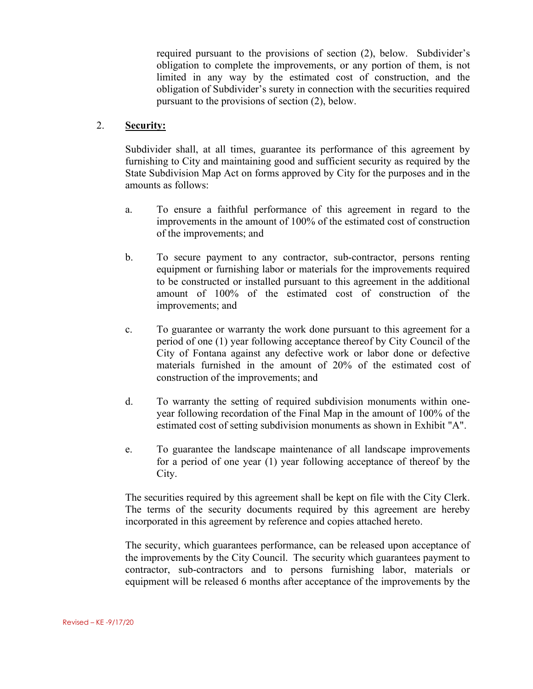required pursuant to the provisions of section (2), below. Subdivider's obligation to complete the improvements, or any portion of them, is not limited in any way by the estimated cost of construction, and the obligation of Subdivider's surety in connection with the securities required pursuant to the provisions of section (2), below.

#### 2. **Security:**

Subdivider shall, at all times, guarantee its performance of this agreement by furnishing to City and maintaining good and sufficient security as required by the State Subdivision Map Act on forms approved by City for the purposes and in the amounts as follows:

- a. To ensure a faithful performance of this agreement in regard to the improvements in the amount of 100% of the estimated cost of construction of the improvements; and
- b. To secure payment to any contractor, sub-contractor, persons renting equipment or furnishing labor or materials for the improvements required to be constructed or installed pursuant to this agreement in the additional amount of 100% of the estimated cost of construction of the improvements; and
- c. To guarantee or warranty the work done pursuant to this agreement for a period of one (1) year following acceptance thereof by City Council of the City of Fontana against any defective work or labor done or defective materials furnished in the amount of 20% of the estimated cost of construction of the improvements; and
- d. To warranty the setting of required subdivision monuments within oneyear following recordation of the Final Map in the amount of 100% of the estimated cost of setting subdivision monuments as shown in Exhibit "A".
- e. To guarantee the landscape maintenance of all landscape improvements for a period of one year (1) year following acceptance of thereof by the City.

The securities required by this agreement shall be kept on file with the City Clerk. The terms of the security documents required by this agreement are hereby incorporated in this agreement by reference and copies attached hereto.

The security, which guarantees performance, can be released upon acceptance of the improvements by the City Council. The security which guarantees payment to contractor, sub-contractors and to persons furnishing labor, materials or equipment will be released 6 months after acceptance of the improvements by the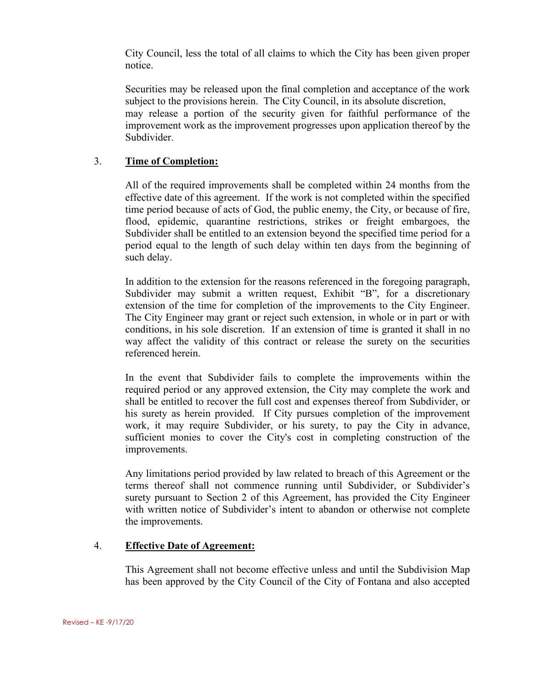City Council, less the total of all claims to which the City has been given proper notice.

Securities may be released upon the final completion and acceptance of the work subject to the provisions herein. The City Council, in its absolute discretion, may release a portion of the security given for faithful performance of the improvement work as the improvement progresses upon application thereof by the Subdivider.

# 3. **Time of Completion:**

All of the required improvements shall be completed within 24 months from the effective date of this agreement. If the work is not completed within the specified time period because of acts of God, the public enemy, the City, or because of fire, flood, epidemic, quarantine restrictions, strikes or freight embargoes, the Subdivider shall be entitled to an extension beyond the specified time period for a period equal to the length of such delay within ten days from the beginning of such delay.

In addition to the extension for the reasons referenced in the foregoing paragraph, Subdivider may submit a written request, Exhibit "B", for a discretionary extension of the time for completion of the improvements to the City Engineer. The City Engineer may grant or reject such extension, in whole or in part or with conditions, in his sole discretion. If an extension of time is granted it shall in no way affect the validity of this contract or release the surety on the securities referenced herein.

In the event that Subdivider fails to complete the improvements within the required period or any approved extension, the City may complete the work and shall be entitled to recover the full cost and expenses thereof from Subdivider, or his surety as herein provided. If City pursues completion of the improvement work, it may require Subdivider, or his surety, to pay the City in advance, sufficient monies to cover the City's cost in completing construction of the improvements.

Any limitations period provided by law related to breach of this Agreement or the terms thereof shall not commence running until Subdivider, or Subdivider's surety pursuant to Section 2 of this Agreement, has provided the City Engineer with written notice of Subdivider's intent to abandon or otherwise not complete the improvements.

#### 4. **Effective Date of Agreement:**

This Agreement shall not become effective unless and until the Subdivision Map has been approved by the City Council of the City of Fontana and also accepted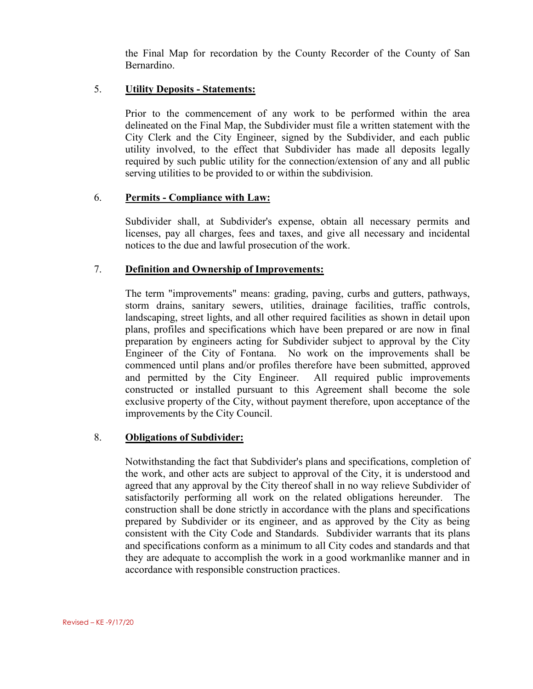the Final Map for recordation by the County Recorder of the County of San Bernardino.

### 5. **Utility Deposits - Statements:**

Prior to the commencement of any work to be performed within the area delineated on the Final Map, the Subdivider must file a written statement with the City Clerk and the City Engineer, signed by the Subdivider, and each public utility involved, to the effect that Subdivider has made all deposits legally required by such public utility for the connection/extension of any and all public serving utilities to be provided to or within the subdivision.

#### 6. **Permits - Compliance with Law:**

Subdivider shall, at Subdivider's expense, obtain all necessary permits and licenses, pay all charges, fees and taxes, and give all necessary and incidental notices to the due and lawful prosecution of the work.

### 7. **Definition and Ownership of Improvements:**

The term "improvements" means: grading, paving, curbs and gutters, pathways, storm drains, sanitary sewers, utilities, drainage facilities, traffic controls, landscaping, street lights, and all other required facilities as shown in detail upon plans, profiles and specifications which have been prepared or are now in final preparation by engineers acting for Subdivider subject to approval by the City Engineer of the City of Fontana. No work on the improvements shall be commenced until plans and/or profiles therefore have been submitted, approved and permitted by the City Engineer. All required public improvements constructed or installed pursuant to this Agreement shall become the sole exclusive property of the City, without payment therefore, upon acceptance of the improvements by the City Council.

# 8. **Obligations of Subdivider:**

Notwithstanding the fact that Subdivider's plans and specifications, completion of the work, and other acts are subject to approval of the City, it is understood and agreed that any approval by the City thereof shall in no way relieve Subdivider of satisfactorily performing all work on the related obligations hereunder. The construction shall be done strictly in accordance with the plans and specifications prepared by Subdivider or its engineer, and as approved by the City as being consistent with the City Code and Standards. Subdivider warrants that its plans and specifications conform as a minimum to all City codes and standards and that they are adequate to accomplish the work in a good workmanlike manner and in accordance with responsible construction practices.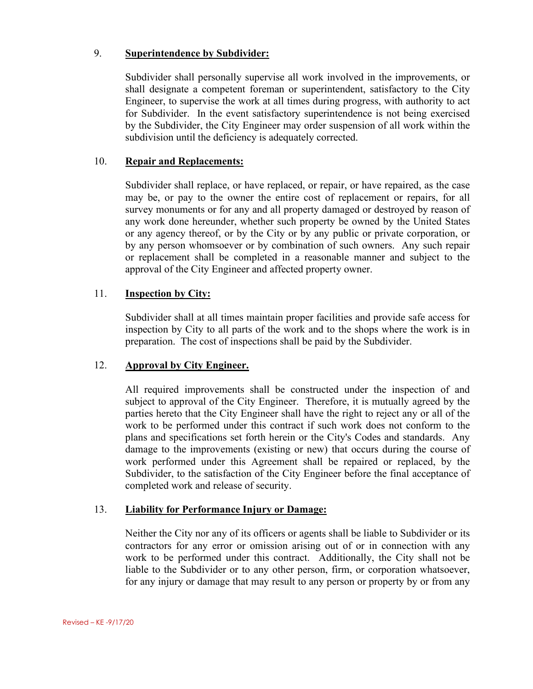#### 9. **Superintendence by Subdivider:**

Subdivider shall personally supervise all work involved in the improvements, or shall designate a competent foreman or superintendent, satisfactory to the City Engineer, to supervise the work at all times during progress, with authority to act for Subdivider. In the event satisfactory superintendence is not being exercised by the Subdivider, the City Engineer may order suspension of all work within the subdivision until the deficiency is adequately corrected.

# 10. **Repair and Replacements:**

Subdivider shall replace, or have replaced, or repair, or have repaired, as the case may be, or pay to the owner the entire cost of replacement or repairs, for all survey monuments or for any and all property damaged or destroyed by reason of any work done hereunder, whether such property be owned by the United States or any agency thereof, or by the City or by any public or private corporation, or by any person whomsoever or by combination of such owners. Any such repair or replacement shall be completed in a reasonable manner and subject to the approval of the City Engineer and affected property owner.

### 11. **Inspection by City:**

Subdivider shall at all times maintain proper facilities and provide safe access for inspection by City to all parts of the work and to the shops where the work is in preparation. The cost of inspections shall be paid by the Subdivider.

#### 12. **Approval by City Engineer.**

All required improvements shall be constructed under the inspection of and subject to approval of the City Engineer. Therefore, it is mutually agreed by the parties hereto that the City Engineer shall have the right to reject any or all of the work to be performed under this contract if such work does not conform to the plans and specifications set forth herein or the City's Codes and standards. Any damage to the improvements (existing or new) that occurs during the course of work performed under this Agreement shall be repaired or replaced, by the Subdivider, to the satisfaction of the City Engineer before the final acceptance of completed work and release of security.

#### 13. **Liability for Performance Injury or Damage:**

Neither the City nor any of its officers or agents shall be liable to Subdivider or its contractors for any error or omission arising out of or in connection with any work to be performed under this contract. Additionally, the City shall not be liable to the Subdivider or to any other person, firm, or corporation whatsoever, for any injury or damage that may result to any person or property by or from any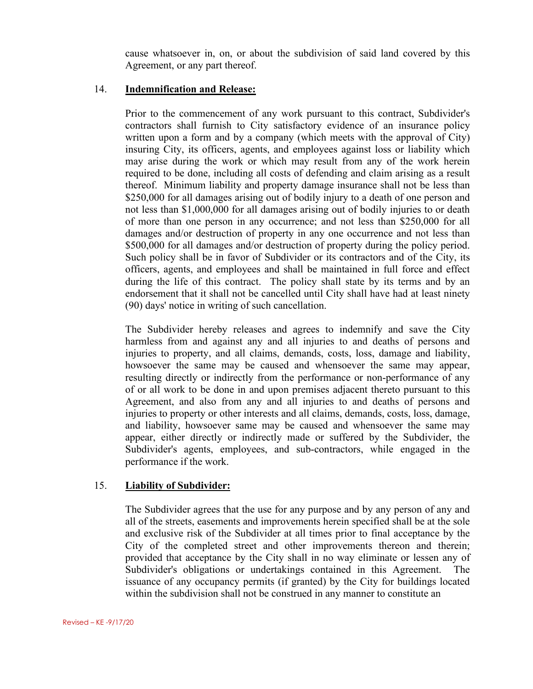cause whatsoever in, on, or about the subdivision of said land covered by this Agreement, or any part thereof.

#### 14. **Indemnification and Release:**

Prior to the commencement of any work pursuant to this contract, Subdivider's contractors shall furnish to City satisfactory evidence of an insurance policy written upon a form and by a company (which meets with the approval of City) insuring City, its officers, agents, and employees against loss or liability which may arise during the work or which may result from any of the work herein required to be done, including all costs of defending and claim arising as a result thereof. Minimum liability and property damage insurance shall not be less than \$250,000 for all damages arising out of bodily injury to a death of one person and not less than \$1,000,000 for all damages arising out of bodily injuries to or death of more than one person in any occurrence; and not less than \$250,000 for all damages and/or destruction of property in any one occurrence and not less than \$500,000 for all damages and/or destruction of property during the policy period. Such policy shall be in favor of Subdivider or its contractors and of the City, its officers, agents, and employees and shall be maintained in full force and effect during the life of this contract. The policy shall state by its terms and by an endorsement that it shall not be cancelled until City shall have had at least ninety (90) days' notice in writing of such cancellation.

The Subdivider hereby releases and agrees to indemnify and save the City harmless from and against any and all injuries to and deaths of persons and injuries to property, and all claims, demands, costs, loss, damage and liability, howsoever the same may be caused and whensoever the same may appear, resulting directly or indirectly from the performance or non-performance of any of or all work to be done in and upon premises adjacent thereto pursuant to this Agreement, and also from any and all injuries to and deaths of persons and injuries to property or other interests and all claims, demands, costs, loss, damage, and liability, howsoever same may be caused and whensoever the same may appear, either directly or indirectly made or suffered by the Subdivider, the Subdivider's agents, employees, and sub-contractors, while engaged in the performance if the work.

#### 15. **Liability of Subdivider:**

The Subdivider agrees that the use for any purpose and by any person of any and all of the streets, easements and improvements herein specified shall be at the sole and exclusive risk of the Subdivider at all times prior to final acceptance by the City of the completed street and other improvements thereon and therein; provided that acceptance by the City shall in no way eliminate or lessen any of Subdivider's obligations or undertakings contained in this Agreement. The issuance of any occupancy permits (if granted) by the City for buildings located within the subdivision shall not be construed in any manner to constitute an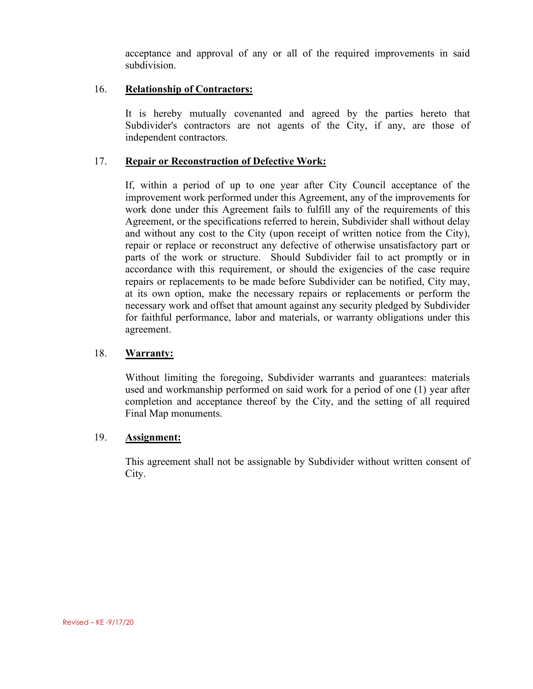acceptance and approval of any or all of the required improvements in said subdivision.

#### 16. **Relationship of Contractors:**

It is hereby mutually covenanted and agreed by the parties hereto that Subdivider's contractors are not agents of the City, if any, are those of independent contractors.

### 17. **Repair or Reconstruction of Defective Work:**

If, within a period of up to one year after City Council acceptance of the improvement work performed under this Agreement, any of the improvements for work done under this Agreement fails to fulfill any of the requirements of this Agreement, or the specifications referred to herein, Subdivider shall without delay and without any cost to the City (upon receipt of written notice from the City), repair or replace or reconstruct any defective of otherwise unsatisfactory part or parts of the work or structure. Should Subdivider fail to act promptly or in accordance with this requirement, or should the exigencies of the case require repairs or replacements to be made before Subdivider can be notified, City may, at its own option, make the necessary repairs or replacements or perform the necessary work and offset that amount against any security pledged by Subdivider for faithful performance, labor and materials, or warranty obligations under this agreement.

#### 18. **Warranty:**

Without limiting the foregoing, Subdivider warrants and guarantees: materials used and workmanship performed on said work for a period of one (1) year after completion and acceptance thereof by the City, and the setting of all required Final Map monuments.

# 19. **Assignment:**

This agreement shall not be assignable by Subdivider without written consent of City.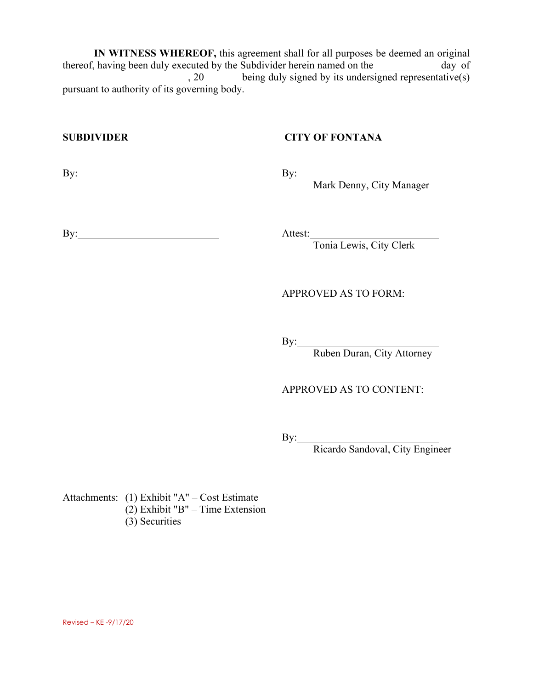**IN WITNESS WHEREOF,** this agreement shall for all purposes be deemed an original thereof, having been duly executed by the Subdivider herein named on the day of  $\frac{1}{20}$ , 20 being duly signed by its undersigned representative(s) pursuant to authority of its governing body.

#### **SUBDIVIDER CITY OF FONTANA**

By: By:

By: Mark Denny, City Manager

By: Attest:

Attest: Tonia Lewis, City Clerk

APPROVED AS TO FORM:

By:

Ruben Duran, City Attorney

APPROVED AS TO CONTENT:

By:

Ricardo Sandoval, City Engineer

Attachments: (1) Exhibit "A" – Cost Estimate (2) Exhibit "B" – Time Extension (3) Securities

Revised – KE -9/17/20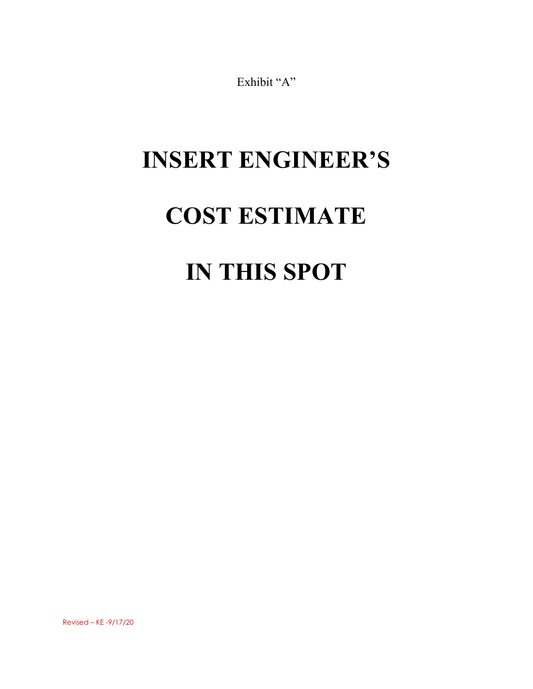Exhibit "A"

# **INSERT ENGINEER'S COST ESTIMATE IN THIS SPOT**

Revised – KE -9/17/20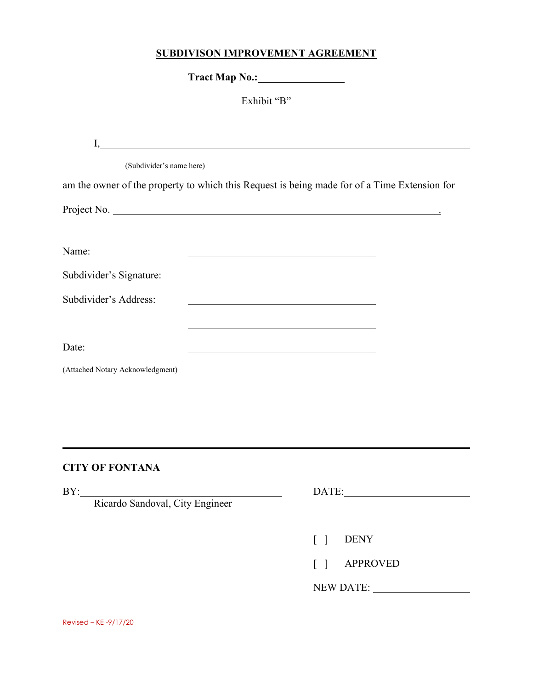# **SUBDIVISON IMPROVEMENT AGREEMENT**

**Tract Map No.:** 

Exhibit "B"

| (Subdivider's name here)         |                                                                                                                       |  |
|----------------------------------|-----------------------------------------------------------------------------------------------------------------------|--|
|                                  | am the owner of the property to which this Request is being made for of a Time Extension for                          |  |
|                                  |                                                                                                                       |  |
|                                  |                                                                                                                       |  |
| Name:                            |                                                                                                                       |  |
| Subdivider's Signature:          |                                                                                                                       |  |
| Subdivider's Address:            | <u> 1980 - Johann Stoff, deutscher Stoff, der Stoff, der Stoff, der Stoff, der Stoff, der Stoff, der Stoff, der S</u> |  |
|                                  |                                                                                                                       |  |
| Date:                            | <u> 1989 - Johann Stein, mars an de Britannich (b. 1989)</u>                                                          |  |
| (Attached Notary Acknowledgment) |                                                                                                                       |  |
|                                  |                                                                                                                       |  |

#### **CITY OF FONTANA**

BY: D

Ricardo Sandoval, City Engineer

| ╮<br>$\mathbf{A}$<br>TТ<br>ш<br>JA. |  |
|-------------------------------------|--|
|                                     |  |

[ ] DENY

[ ] APPROVED

NEW DATE: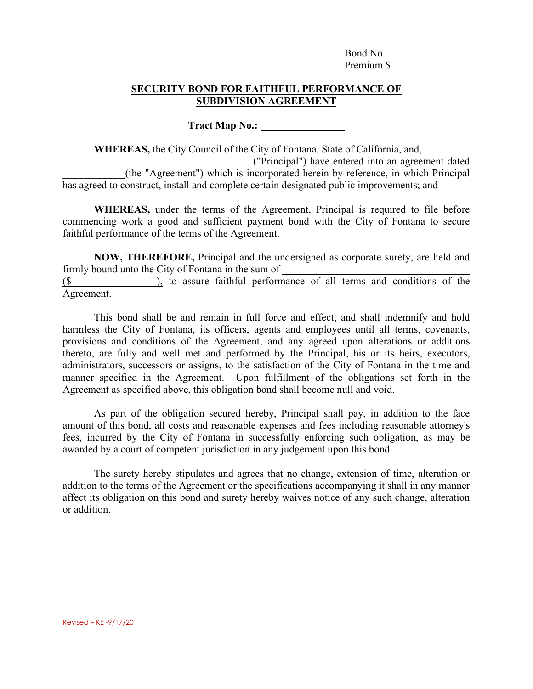Bond No. Premium \$

#### **SECURITY BOND FOR FAITHFUL PERFORMANCE OF SUBDIVISION AGREEMENT**

#### **Tract Map No.:**

**WHEREAS,** the City Council of the City of Fontana, State of California, and,

 ("Principal") have entered into an agreement dated \_\_\_\_\_\_\_\_\_\_\_\_(the "Agreement") which is incorporated herein by reference, in which Principal has agreed to construct, install and complete certain designated public improvements; and

**WHEREAS,** under the terms of the Agreement, Principal is required to file before commencing work a good and sufficient payment bond with the City of Fontana to secure faithful performance of the terms of the Agreement.

**NOW, THEREFORE,** Principal and the undersigned as corporate surety, are held and firmly bound unto the City of Fontana in the sum of (\$ ), to assure faithful performance of all terms and conditions of the Agreement.

This bond shall be and remain in full force and effect, and shall indemnify and hold harmless the City of Fontana, its officers, agents and employees until all terms, covenants, provisions and conditions of the Agreement, and any agreed upon alterations or additions thereto, are fully and well met and performed by the Principal, his or its heirs, executors, administrators, successors or assigns, to the satisfaction of the City of Fontana in the time and manner specified in the Agreement. Upon fulfillment of the obligations set forth in the Agreement as specified above, this obligation bond shall become null and void.

As part of the obligation secured hereby, Principal shall pay, in addition to the face amount of this bond, all costs and reasonable expenses and fees including reasonable attorney's fees, incurred by the City of Fontana in successfully enforcing such obligation, as may be awarded by a court of competent jurisdiction in any judgement upon this bond.

The surety hereby stipulates and agrees that no change, extension of time, alteration or addition to the terms of the Agreement or the specifications accompanying it shall in any manner affect its obligation on this bond and surety hereby waives notice of any such change, alteration or addition.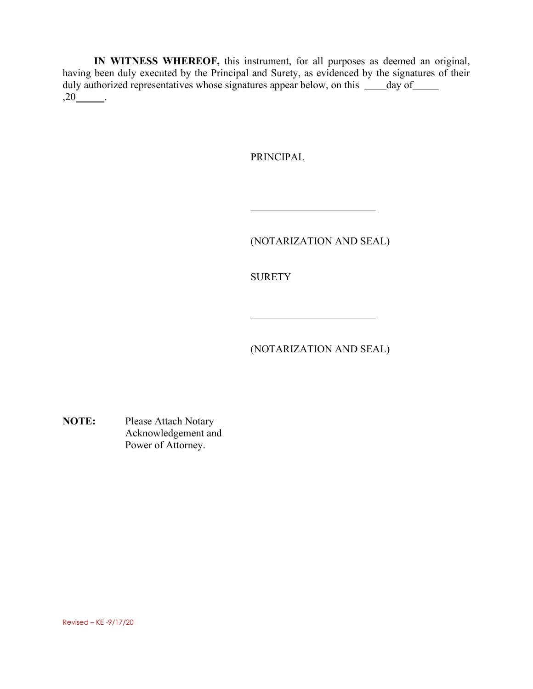**IN WITNESS WHEREOF,** this instrument, for all purposes as deemed an original, having been duly executed by the Principal and Surety, as evidenced by the signatures of their duly authorized representatives whose signatures appear below, on this \_\_\_\_ day of\_\_\_\_\_  $,20$   $.$ 

PRINCIPAL

(NOTARIZATION AND SEAL)

SURETY

 $\overline{a}$ 

 $\overline{a}$ 

(NOTARIZATION AND SEAL)

**NOTE:** Please Attach Notary Acknowledgement and Power of Attorney.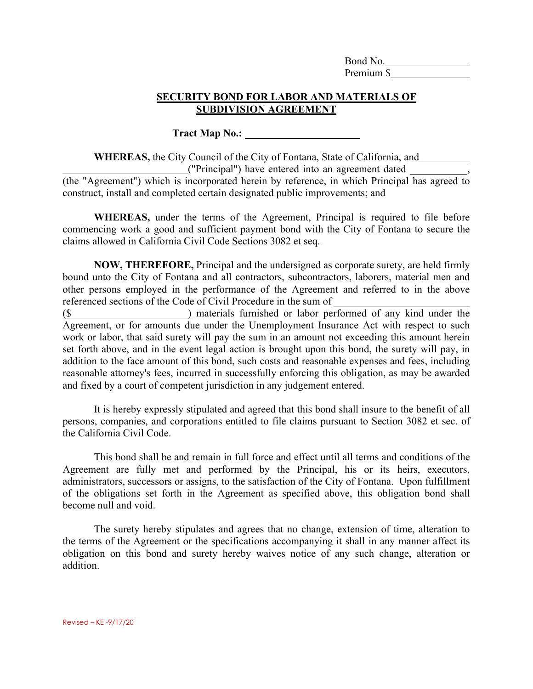Bond No. Premium \$

### **SECURITY BOND FOR LABOR AND MATERIALS OF SUBDIVISION AGREEMENT**

# **Tract Map No.:**

**WHEREAS,** the City Council of the City of Fontana, State of California, and ("Principal") have entered into an agreement dated

(the "Agreement") which is incorporated herein by reference, in which Principal has agreed to construct, install and completed certain designated public improvements; and

**WHEREAS,** under the terms of the Agreement, Principal is required to file before commencing work a good and sufficient payment bond with the City of Fontana to secure the claims allowed in California Civil Code Sections 3082 et seq.

**NOW, THEREFORE,** Principal and the undersigned as corporate surety, are held firmly bound unto the City of Fontana and all contractors, subcontractors, laborers, material men and other persons employed in the performance of the Agreement and referred to in the above referenced sections of the Code of Civil Procedure in the sum of

(\$ ) materials furnished or labor performed of any kind under the Agreement, or for amounts due under the Unemployment Insurance Act with respect to such work or labor, that said surety will pay the sum in an amount not exceeding this amount herein set forth above, and in the event legal action is brought upon this bond, the surety will pay, in addition to the face amount of this bond, such costs and reasonable expenses and fees, including reasonable attorney's fees, incurred in successfully enforcing this obligation, as may be awarded and fixed by a court of competent jurisdiction in any judgement entered.

It is hereby expressly stipulated and agreed that this bond shall insure to the benefit of all persons, companies, and corporations entitled to file claims pursuant to Section 3082 et sec. of the California Civil Code.

This bond shall be and remain in full force and effect until all terms and conditions of the Agreement are fully met and performed by the Principal, his or its heirs, executors, administrators, successors or assigns, to the satisfaction of the City of Fontana. Upon fulfillment of the obligations set forth in the Agreement as specified above, this obligation bond shall become null and void.

The surety hereby stipulates and agrees that no change, extension of time, alteration to the terms of the Agreement or the specifications accompanying it shall in any manner affect its obligation on this bond and surety hereby waives notice of any such change, alteration or addition.

Revised – KE -9/17/20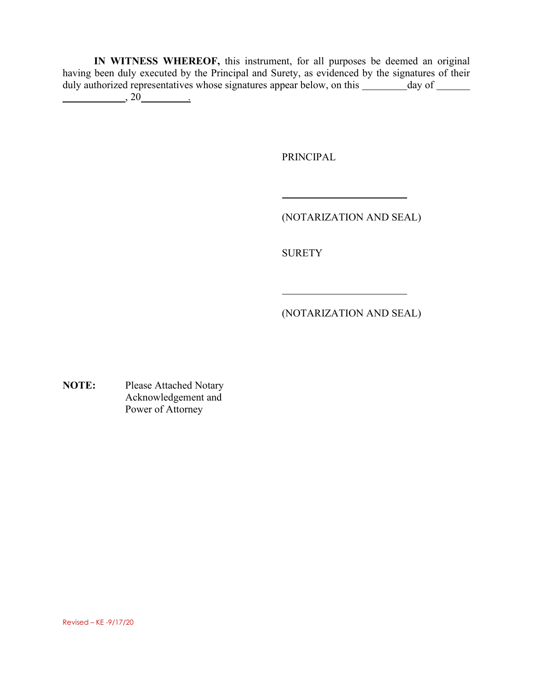**IN WITNESS WHEREOF,** this instrument, for all purposes be deemed an original having been duly executed by the Principal and Surety, as evidenced by the signatures of their duly authorized representatives whose signatures appear below, on this \_\_\_\_\_\_\_ day of \_\_\_\_\_\_  $\frac{1}{20}$ , 20

PRINCIPAL

(NOTARIZATION AND SEAL)

**SURETY** 

 $\overline{a}$ 

 $\overline{a}$ 

(NOTARIZATION AND SEAL)

**NOTE:** Please Attached Notary Acknowledgement and Power of Attorney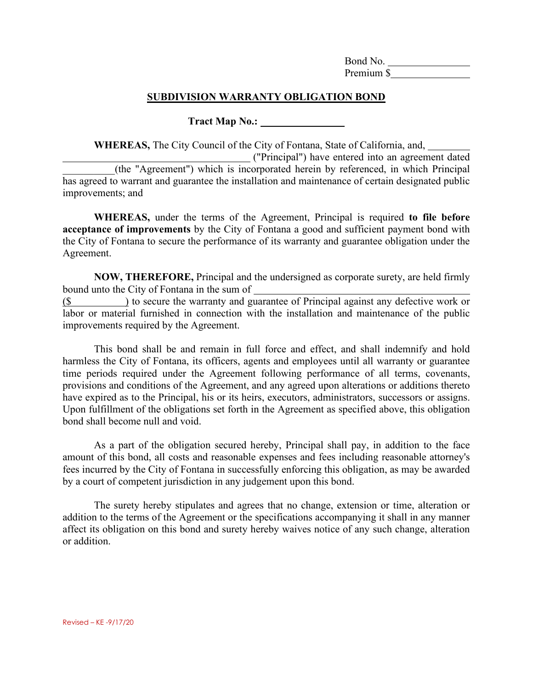| Bond No.   |  |
|------------|--|
| Premium \$ |  |

#### **SUBDIVISION WARRANTY OBLIGATION BOND**

**Tract Map No.:** 

**WHEREAS,** The City Council of the City of Fontana, State of California, and,

 ("Principal") have entered into an agreement dated \_\_\_\_\_\_\_\_\_\_(the "Agreement") which is incorporated herein by referenced, in which Principal has agreed to warrant and guarantee the installation and maintenance of certain designated public improvements; and

**WHEREAS,** under the terms of the Agreement, Principal is required **to file before acceptance of improvements** by the City of Fontana a good and sufficient payment bond with the City of Fontana to secure the performance of its warranty and guarantee obligation under the Agreement.

**NOW, THEREFORE,** Principal and the undersigned as corporate surety, are held firmly bound unto the City of Fontana in the sum of

(\$ ) to secure the warranty and guarantee of Principal against any defective work or labor or material furnished in connection with the installation and maintenance of the public improvements required by the Agreement.

This bond shall be and remain in full force and effect, and shall indemnify and hold harmless the City of Fontana, its officers, agents and employees until all warranty or guarantee time periods required under the Agreement following performance of all terms, covenants, provisions and conditions of the Agreement, and any agreed upon alterations or additions thereto have expired as to the Principal, his or its heirs, executors, administrators, successors or assigns. Upon fulfillment of the obligations set forth in the Agreement as specified above, this obligation bond shall become null and void.

As a part of the obligation secured hereby, Principal shall pay, in addition to the face amount of this bond, all costs and reasonable expenses and fees including reasonable attorney's fees incurred by the City of Fontana in successfully enforcing this obligation, as may be awarded by a court of competent jurisdiction in any judgement upon this bond.

The surety hereby stipulates and agrees that no change, extension or time, alteration or addition to the terms of the Agreement or the specifications accompanying it shall in any manner affect its obligation on this bond and surety hereby waives notice of any such change, alteration or addition.